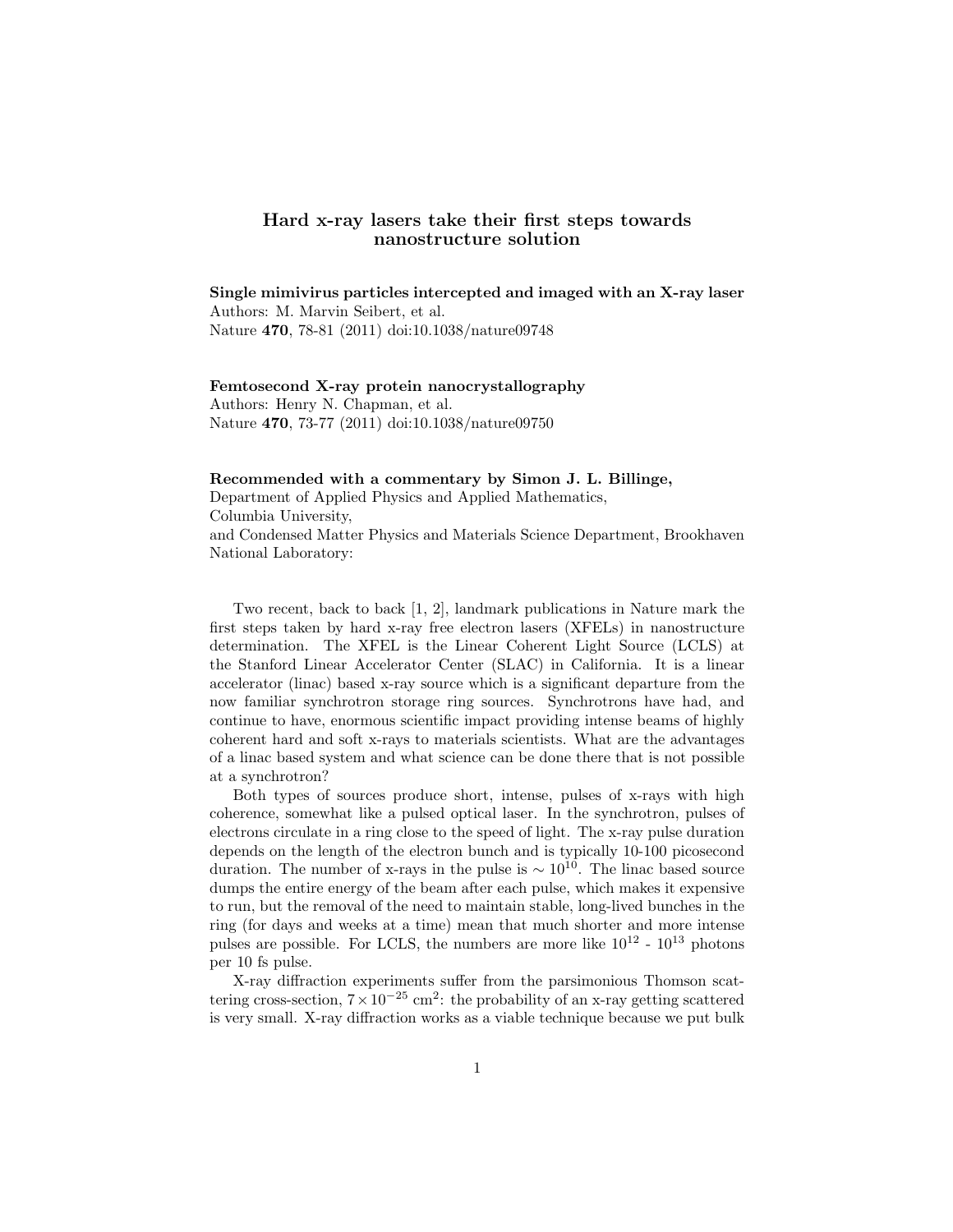## Hard x-ray lasers take their first steps towards nanostructure solution

Single mimivirus particles intercepted and imaged with an X-ray laser Authors: M. Marvin Seibert, et al. Nature 470, 78-81 (2011) doi:10.1038/nature09748

Femtosecond X-ray protein nanocrystallography Authors: Henry N. Chapman, et al. Nature 470, 73-77 (2011) doi:10.1038/nature09750

## Recommended with a commentary by Simon J. L. Billinge,

Department of Applied Physics and Applied Mathematics, Columbia University, and Condensed Matter Physics and Materials Science Department, Brookhaven National Laboratory:

Two recent, back to back [1, 2], landmark publications in Nature mark the first steps taken by hard x-ray free electron lasers (XFELs) in nanostructure determination. The XFEL is the Linear Coherent Light Source (LCLS) at the Stanford Linear Accelerator Center (SLAC) in California. It is a linear accelerator (linac) based x-ray source which is a significant departure from the now familiar synchrotron storage ring sources. Synchrotrons have had, and continue to have, enormous scientific impact providing intense beams of highly coherent hard and soft x-rays to materials scientists. What are the advantages of a linac based system and what science can be done there that is not possible at a synchrotron?

Both types of sources produce short, intense, pulses of x-rays with high coherence, somewhat like a pulsed optical laser. In the synchrotron, pulses of electrons circulate in a ring close to the speed of light. The x-ray pulse duration depends on the length of the electron bunch and is typically 10-100 picosecond duration. The number of x-rays in the pulse is  $\sim 10^{10}$ . The linac based source dumps the entire energy of the beam after each pulse, which makes it expensive to run, but the removal of the need to maintain stable, long-lived bunches in the ring (for days and weeks at a time) mean that much shorter and more intense pulses are possible. For LCLS, the numbers are more like  $10^{12}$  -  $10^{13}$  photons per 10 fs pulse.

X-ray diffraction experiments suffer from the parsimonious Thomson scattering cross-section,  $7 \times 10^{-25}$  cm<sup>2</sup>: the probability of an x-ray getting scattered is very small. X-ray diffraction works as a viable technique because we put bulk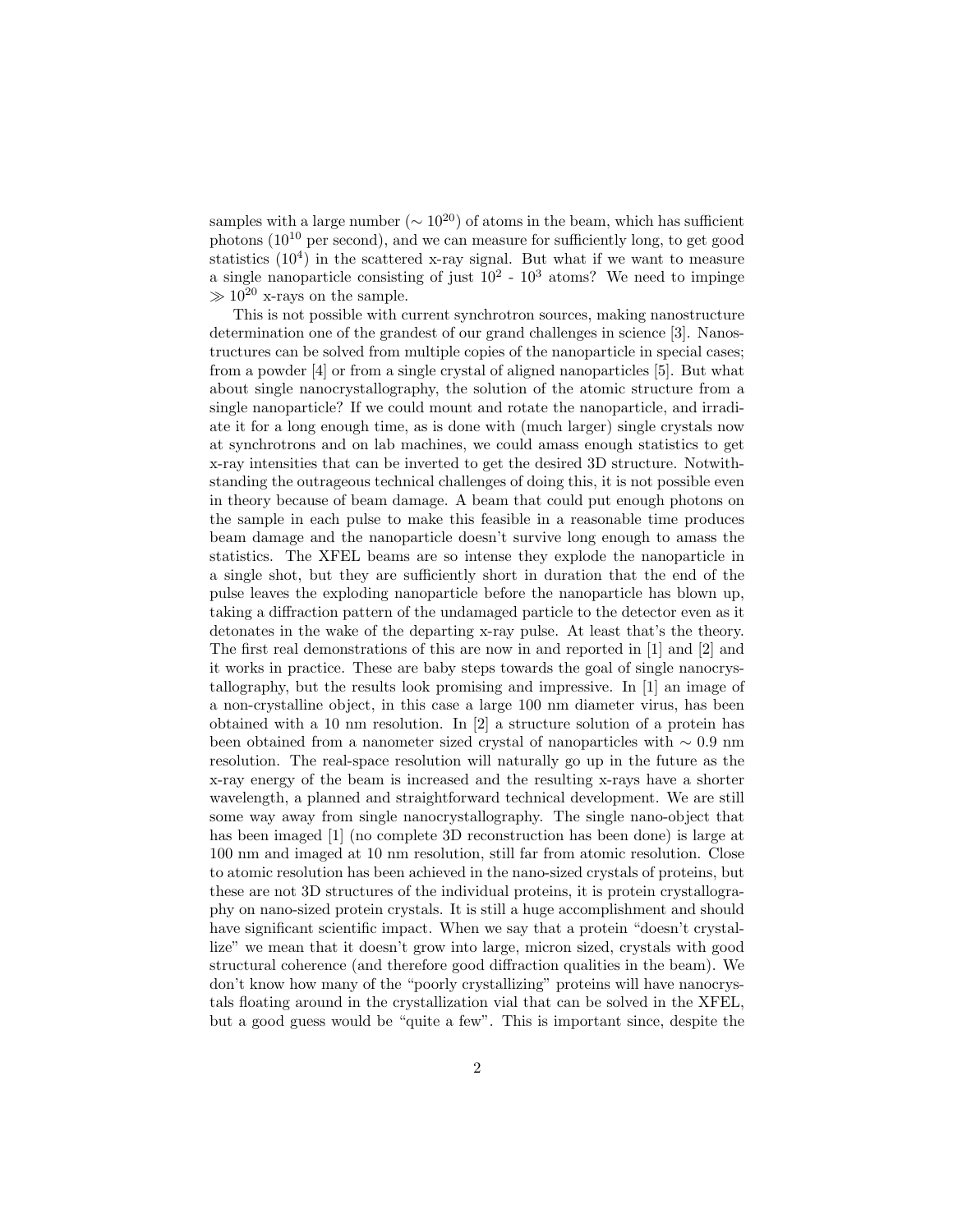samples with a large number ( $\sim 10^{20}$ ) of atoms in the beam, which has sufficient photons  $(10^{10} \text{ per second})$ , and we can measure for sufficiently long, to get good statistics (10<sup>4</sup>) in the scattered x-ray signal. But what if we want to measure a single nanoparticle consisting of just  $10^2 - 10^3$  atoms? We need to impinge  $\gg 10^{20}$  x-rays on the sample.

This is not possible with current synchrotron sources, making nanostructure determination one of the grandest of our grand challenges in science [3]. Nanostructures can be solved from multiple copies of the nanoparticle in special cases; from a powder [4] or from a single crystal of aligned nanoparticles [5]. But what about single nanocrystallography, the solution of the atomic structure from a single nanoparticle? If we could mount and rotate the nanoparticle, and irradiate it for a long enough time, as is done with (much larger) single crystals now at synchrotrons and on lab machines, we could amass enough statistics to get x-ray intensities that can be inverted to get the desired 3D structure. Notwithstanding the outrageous technical challenges of doing this, it is not possible even in theory because of beam damage. A beam that could put enough photons on the sample in each pulse to make this feasible in a reasonable time produces beam damage and the nanoparticle doesn't survive long enough to amass the statistics. The XFEL beams are so intense they explode the nanoparticle in a single shot, but they are sufficiently short in duration that the end of the pulse leaves the exploding nanoparticle before the nanoparticle has blown up, taking a diffraction pattern of the undamaged particle to the detector even as it detonates in the wake of the departing x-ray pulse. At least that's the theory. The first real demonstrations of this are now in and reported in [1] and [2] and it works in practice. These are baby steps towards the goal of single nanocrystallography, but the results look promising and impressive. In [1] an image of a non-crystalline object, in this case a large 100 nm diameter virus, has been obtained with a 10 nm resolution. In [2] a structure solution of a protein has been obtained from a nanometer sized crystal of nanoparticles with ∼ 0.9 nm resolution. The real-space resolution will naturally go up in the future as the x-ray energy of the beam is increased and the resulting x-rays have a shorter wavelength, a planned and straightforward technical development. We are still some way away from single nanocrystallography. The single nano-object that has been imaged [1] (no complete 3D reconstruction has been done) is large at 100 nm and imaged at 10 nm resolution, still far from atomic resolution. Close to atomic resolution has been achieved in the nano-sized crystals of proteins, but these are not 3D structures of the individual proteins, it is protein crystallography on nano-sized protein crystals. It is still a huge accomplishment and should have significant scientific impact. When we say that a protein "doesn't crystallize" we mean that it doesn't grow into large, micron sized, crystals with good structural coherence (and therefore good diffraction qualities in the beam). We don't know how many of the "poorly crystallizing" proteins will have nanocrystals floating around in the crystallization vial that can be solved in the XFEL, but a good guess would be "quite a few". This is important since, despite the